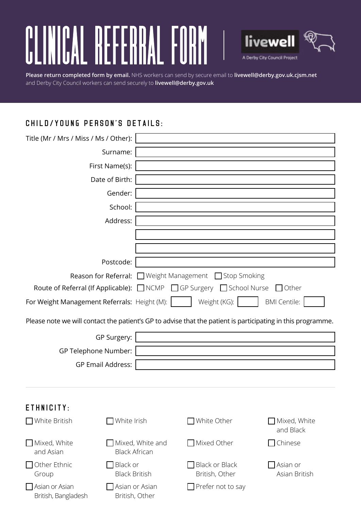# NICAL **REFERRAL FORM**  $\begin{bmatrix} 0 \ 0 \end{bmatrix}$



**Please return completed form by email.** NHS workers can send by secure email to **livewell@derby.gov.uk.cjsm.net** and Derby City Council workers can send securely to **livewell@derby.gov.uk**

# Child/Young Person's Details:

British, Bangladesh

British, Other

| Title (Mr / Mrs / Miss / Ms / Other):                                                                                                                                        |                                                 |                                                                |                           |  |  |                                                                                                             |
|------------------------------------------------------------------------------------------------------------------------------------------------------------------------------|-------------------------------------------------|----------------------------------------------------------------|---------------------------|--|--|-------------------------------------------------------------------------------------------------------------|
|                                                                                                                                                                              | Surname:                                        |                                                                |                           |  |  |                                                                                                             |
|                                                                                                                                                                              | First Name(s):                                  |                                                                |                           |  |  |                                                                                                             |
|                                                                                                                                                                              | Date of Birth:                                  |                                                                |                           |  |  |                                                                                                             |
|                                                                                                                                                                              | Gender:                                         |                                                                |                           |  |  |                                                                                                             |
|                                                                                                                                                                              | School:                                         |                                                                |                           |  |  |                                                                                                             |
|                                                                                                                                                                              | Address:                                        |                                                                |                           |  |  |                                                                                                             |
|                                                                                                                                                                              |                                                 |                                                                |                           |  |  |                                                                                                             |
|                                                                                                                                                                              |                                                 |                                                                |                           |  |  |                                                                                                             |
|                                                                                                                                                                              |                                                 |                                                                |                           |  |  |                                                                                                             |
|                                                                                                                                                                              | Postcode:                                       |                                                                |                           |  |  |                                                                                                             |
|                                                                                                                                                                              |                                                 | <b>Reason for Referral:</b> □ Weight Management □ Stop Smoking |                           |  |  |                                                                                                             |
| Route of Referral (If Applicable): □ NCMP □ GP Surgery □ School Nurse<br>$\Box$ Other<br>Weight (KG):<br><b>BMI Centile:</b><br>For Weight Management Referrals: Height (M): |                                                 |                                                                |                           |  |  |                                                                                                             |
|                                                                                                                                                                              |                                                 |                                                                |                           |  |  | Please note we will contact the patient's GP to advise that the patient is participating in this programme. |
|                                                                                                                                                                              | GP Surgery:                                     |                                                                |                           |  |  |                                                                                                             |
|                                                                                                                                                                              | GP Telephone Number:                            |                                                                |                           |  |  |                                                                                                             |
|                                                                                                                                                                              | <b>GP Email Address:</b>                        |                                                                |                           |  |  |                                                                                                             |
|                                                                                                                                                                              |                                                 |                                                                |                           |  |  |                                                                                                             |
|                                                                                                                                                                              |                                                 |                                                                |                           |  |  |                                                                                                             |
| ETHNICITY:                                                                                                                                                                   |                                                 |                                                                |                           |  |  |                                                                                                             |
| □ White British                                                                                                                                                              | White Irish                                     | White Other                                                    | Mixed, White<br>and Black |  |  |                                                                                                             |
| Mixed, White<br>and Asian                                                                                                                                                    | $\Box$ Mixed, White and<br><b>Black African</b> | $\Box$ Mixed Other                                             | Chinese                   |  |  |                                                                                                             |
| $\Box$ Other Ethnic<br>Group                                                                                                                                                 | Black or<br><b>Black British</b>                | <b>Black or Black</b><br>British, Other                        | Asian or<br>Asian British |  |  |                                                                                                             |
| Asian or Asian                                                                                                                                                               | Asian or Asian                                  | Prefer not to say                                              |                           |  |  |                                                                                                             |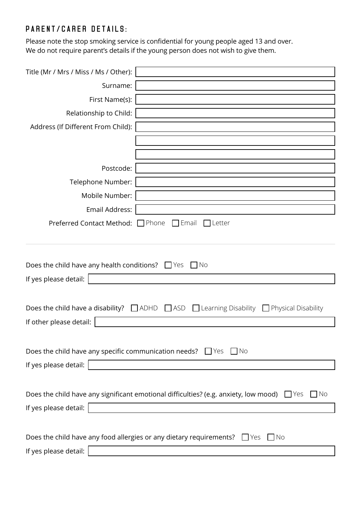## Parent/carer Details:

Please note the stop smoking service is confidential for young people aged 13 and over. We do not require parent's details if the young person does not wish to give them.

| Title (Mr / Mrs / Miss / Ms / Other):                                                                                                                      |                                                                                                                                                                       |  |  |  |  |
|------------------------------------------------------------------------------------------------------------------------------------------------------------|-----------------------------------------------------------------------------------------------------------------------------------------------------------------------|--|--|--|--|
| Surname:                                                                                                                                                   |                                                                                                                                                                       |  |  |  |  |
| First Name(s):                                                                                                                                             |                                                                                                                                                                       |  |  |  |  |
| Relationship to Child:                                                                                                                                     |                                                                                                                                                                       |  |  |  |  |
| Address (If Different From Child):                                                                                                                         |                                                                                                                                                                       |  |  |  |  |
|                                                                                                                                                            |                                                                                                                                                                       |  |  |  |  |
|                                                                                                                                                            |                                                                                                                                                                       |  |  |  |  |
| Postcode:                                                                                                                                                  |                                                                                                                                                                       |  |  |  |  |
| Telephone Number:                                                                                                                                          |                                                                                                                                                                       |  |  |  |  |
| Mobile Number:                                                                                                                                             |                                                                                                                                                                       |  |  |  |  |
| Email Address:                                                                                                                                             |                                                                                                                                                                       |  |  |  |  |
| Preferred Contact Method: □ Phone                                                                                                                          | $\Box$ Email<br>Letter                                                                                                                                                |  |  |  |  |
| Does the child have any health conditions? $\Box$ Yes<br>If yes please detail:<br>Does the child have a disability? $\Box$ ADHD<br>If other please detail: | - I No<br>$\Box$ ASD<br>$\Box$ Learning Disability<br>$\Box$ Physical Disability                                                                                      |  |  |  |  |
|                                                                                                                                                            | Does the child have any specific communication needs? $\Box$ Yes $\Box$ No                                                                                            |  |  |  |  |
| If yes please detail: $  \cdot  $                                                                                                                          |                                                                                                                                                                       |  |  |  |  |
| If yes please detail:                                                                                                                                      | Does the child have any significant emotional difficulties? (e.g. anxiety, low mood) $\Box$ Yes<br>$\Box$ No<br><u> 1989 - Johann Stoff, fransk politik (d. 1989)</u> |  |  |  |  |
|                                                                                                                                                            | Does the child have any food allergies or any dietary requirements? $\Box$ Yes $\Box$ No                                                                              |  |  |  |  |
| If yes please detail:                                                                                                                                      | <u> 1989 - Johann Stein, mars an deus Amerikaansk kommunister (</u>                                                                                                   |  |  |  |  |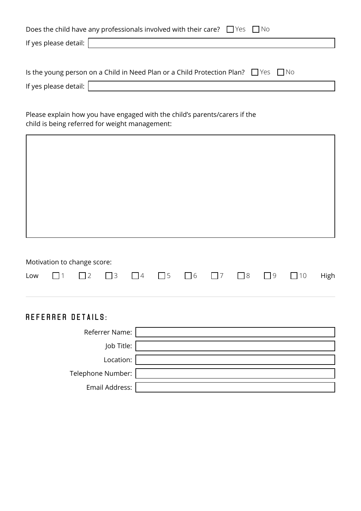|                               | Does the child have any professionals involved with their care? $\Box$ Yes $\Box$ No         |
|-------------------------------|----------------------------------------------------------------------------------------------|
| If yes please detail: $\vert$ |                                                                                              |
|                               |                                                                                              |
|                               | Is the young person on a Child in Need Plan or a Child Protection Plan? $\Box$ Yes $\Box$ No |
| If yes please detail: $\vert$ |                                                                                              |

Please explain how you have engaged with the child's parents/carers if the child is being referred for weight management:

|  | Motivation to change score: |  |  |  |                                                                                                     |  |
|--|-----------------------------|--|--|--|-----------------------------------------------------------------------------------------------------|--|
|  |                             |  |  |  | Low $\Box$ 1 $\Box$ 2 $\Box$ 3 $\Box$ 4 $\Box$ 5 $\Box$ 6 $\Box$ 7 $\Box$ 8 $\Box$ 9 $\Box$ 10 High |  |

## referrer Details:

| Referrer Name:    |  |
|-------------------|--|
| Job Title:        |  |
| Location:         |  |
| Telephone Number: |  |
| Email Address:    |  |